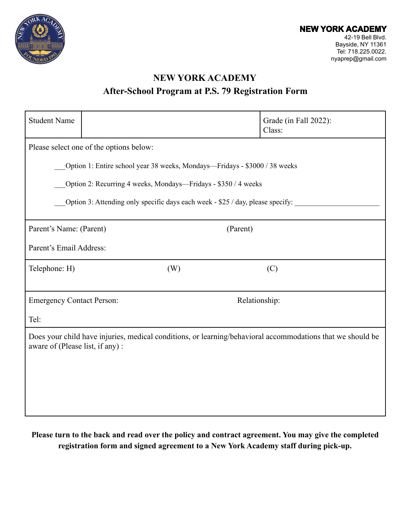

# **NEW YORK ACADEMY**

### **After-School Program at P.S. 79 Registration Form**

| <b>Student Name</b>                                                                                                                           |     | Grade (in Fall 2022):<br>Class: |
|-----------------------------------------------------------------------------------------------------------------------------------------------|-----|---------------------------------|
| Please select one of the options below:                                                                                                       |     |                                 |
| Option 1: Entire school year 38 weeks, Mondays—Fridays - \$3000 / 38 weeks                                                                    |     |                                 |
| Option 2: Recurring 4 weeks, Mondays—Fridays - \$350 / 4 weeks                                                                                |     |                                 |
| Option 3: Attending only specific days each week - \$25 / day, please specify:                                                                |     |                                 |
| Parent's Name: (Parent)<br>(Parent)                                                                                                           |     |                                 |
| Parent's Email Address:                                                                                                                       |     |                                 |
| Telephone: H)                                                                                                                                 | (W) | (C)                             |
|                                                                                                                                               |     |                                 |
| <b>Emergency Contact Person:</b>                                                                                                              |     | Relationship:                   |
| Tel:                                                                                                                                          |     |                                 |
| Does your child have injuries, medical conditions, or learning/behavioral accommodations that we should be<br>aware of (Please list, if any): |     |                                 |
|                                                                                                                                               |     |                                 |
|                                                                                                                                               |     |                                 |
|                                                                                                                                               |     |                                 |

**Please turn to the back and read over the policy and contract agreement. You may give the completed registration form and signed agreement to a New York Academy staff during pick-up.**